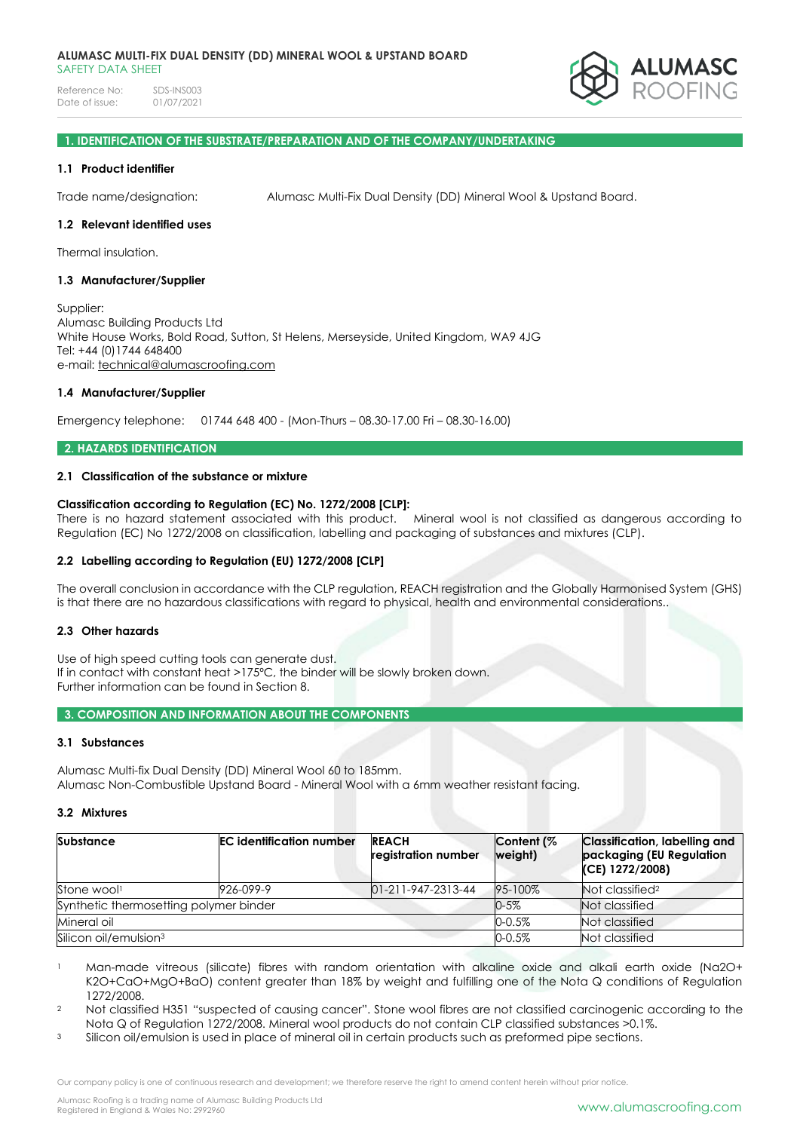Reference No: SDS-INS003<br>Date of issue: 01/07/2021 Date of issue:



## **1. IDENTIFICATION OF THE SUBSTRATE/PREPARATION AND OF THE COMPANY/UNDERTAKING**

## **1.1 Product identifier**

Trade name/designation: Alumasc Multi-Fix Dual Density (DD) Mineral Wool & Upstand Board.

## **1.2 Relevant identified uses**

Thermal insulation.

## **1.3 Manufacturer/Supplier**

Supplier: Alumasc Building Products Ltd White House Works, Bold Road, Sutton, St Helens, Merseyside, United Kingdom, WA9 4JG Tel: +44 (0)1744 648400 e-mail: [technical@alumascroofing.com](mailto:technical@alumascroofing.com)

#### **1.4 Manufacturer/Supplier**

Emergency telephone: 01744 648 400 - (Mon-Thurs – 08.30-17.00 Fri – 08.30-16.00)

## **2. HAZARDS IDENTIFICATION**

# **2.1 Classification of the substance or mixture**

## **Classification according to Regulation (EC) No. 1272/2008 [CLP]:**

There is no hazard statement associated with this product. Mineral wool is not classified as dangerous according to Regulation (EC) No 1272/2008 on classification, labelling and packaging of substances and mixtures (CLP).

## **2.2 Labelling according to Regulation (EU) 1272/2008 [CLP]**

The overall conclusion in accordance with the CLP regulation, REACH registration and the Globally Harmonised System (GHS) is that there are no hazardous classifications with regard to physical, health and environmental considerations..

## **2.3 Other hazards**

Use of high speed cutting tools can generate dust. If in contact with constant heat >175ºC, the binder will be slowly broken down. Further information can be found in Section 8.

## **3. COMPOSITION AND INFORMATION ABOUT THE COMPONENTS**

## **3.1 Substances**

Alumasc Multi-fix Dual Density (DD) Mineral Wool 60 to 185mm. Alumasc Non-Combustible Upstand Board - Mineral Wool with a 6mm weather resistant facing.

#### **3.2 Mixtures**

| <b>Substance</b>                       | <b>EC</b> identification number | <b>REACH</b><br>registration number | Content (%<br>weight) | <b>Classification, labelling and</b><br>packaging (EU Regulation<br>$(CE)$ 1272/2008) |
|----------------------------------------|---------------------------------|-------------------------------------|-----------------------|---------------------------------------------------------------------------------------|
| Stone wool!                            | 926-099-9                       | $01 - 211 - 947 - 2313 - 44$        | 95-100%               | Not classified?                                                                       |
| Synthetic thermosetting polymer binder |                                 | $0 - 5\%$                           | Not classified        |                                                                                       |
| Mineral oil                            |                                 |                                     | $0 - 0.5%$            | Not classified                                                                        |
| Silicon oil/emulsion <sup>3</sup>      |                                 |                                     | $0 - 0.5%$            | Not classified                                                                        |

- 1 Man-made vitreous (silicate) fibres with random orientation with alkaline oxide and alkali earth oxide (Na2O+ K2O+CaO+MgO+BaO) content greater than 18% by weight and fulfilling one of the Nota Q conditions of Regulation 1272/2008.
- <sup>2</sup> Not classified H351 "suspected of causing cancer". Stone wool fibres are not classified carcinogenic according to the Nota Q of Regulation 1272/2008. Mineral wool products do not contain CLP classified substances >0.1%.
- <sup>3</sup> Silicon oil/emulsion is used in place of mineral oil in certain products such as preformed pipe sections.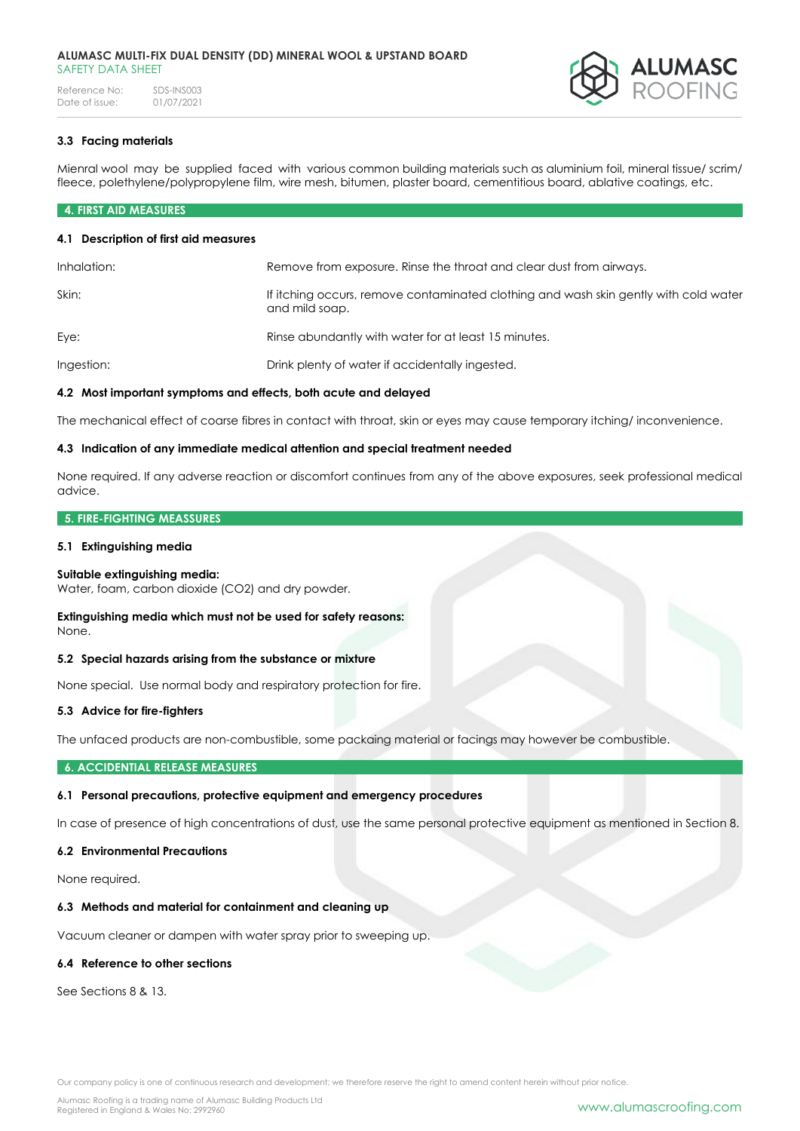#### **ALUMASC MULTI-FIX DUAL DENSITY (DD) MINERAL WOOL & UPSTAND BOARD** SAFETY DATA SHEFT

Reference No: SDS-INS003<br>Date of issue: 01/07/2021 Date of issue:



# **3.3 Facing materials**

Mienral wool may be supplied faced with various common building materials such as aluminium foil, mineral tissue/ scrim/ fleece, polethylene/polypropylene film, wire mesh, bitumen, plaster board, cementitious board, ablative coatings, etc.

# **4. FIRST AID MEASURES**

## **4.1 Description of first aid measures**

| Inhalation: | Remove from exposure. Rinse the throat and clear dust from airways.                                    |
|-------------|--------------------------------------------------------------------------------------------------------|
| Skin:       | If itching occurs, remove contaminated clothing and wash skin gently with cold water<br>and mild soap. |
| Eye:        | Rinse abundantly with water for at least 15 minutes.                                                   |
| Ingestion:  | Drink plenty of water if accidentally ingested.                                                        |

# **4.2 Most important symptoms and effects, both acute and delayed**

The mechanical effect of coarse fibres in contact with throat, skin or eyes may cause temporary itching/ inconvenience.

#### **4.3 Indication of any immediate medical attention and special treatment needed**

None required. If any adverse reaction or discomfort continues from any of the above exposures, seek professional medical advice.

#### **5. FIRE-FIGHTING MEASSURES**

#### **5.1 Extinguishing media**

## **Suitable extinguishing media:**

Water, foam, carbon dioxide (CO2) and dry powder.

#### **Extinguishing media which must not be used for safety reasons:** None.

# **5.2 Special hazards arising from the substance or mixture**

None special. Use normal body and respiratory protection for fire.

## **5.3 Advice for fire-fighters**

The unfaced products are non-combustible, some packaing material or facings may however be combustible.

## **6. ACCIDENTIAL RELEASE MEASURES**

## **6.1 Personal precautions, protective equipment and emergency procedures**

In case of presence of high concentrations of dust, use the same personal protective equipment as mentioned in Section 8.

#### **6.2 Environmental Precautions**

None required.

## **6.3 Methods and material for containment and cleaning up**

Vacuum cleaner or dampen with water spray prior to sweeping up.

# **6.4 Reference to other sections**

See Sections 8 & 13.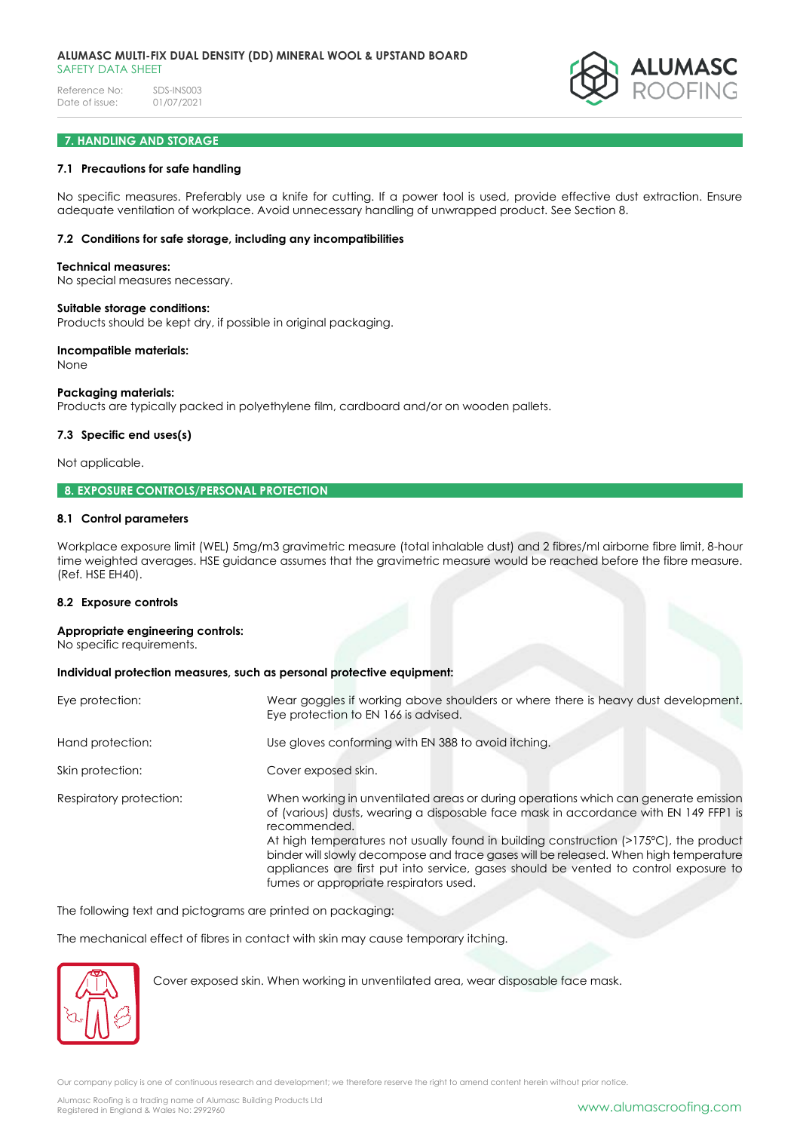#### **ALUMASC MULTI-FIX DUAL DENSITY (DD) MINERAL WOOL & UPSTAND BOARD** SAFETY DATA SHEET

Reference No: SDS-INS003<br>Date of issue: 01/07/2021 Date of issue:



# **7. HANDLING AND STORAGE**

# **7.1 Precautions for safe handling**

No specific measures. Preferably use a knife for cutting. If a power tool is used, provide effective dust extraction. Ensure adequate ventilation of workplace. Avoid unnecessary handling of unwrapped product. See Section 8.

# **7.2 Conditions for safe storage, including any incompatibilities**

#### **Technical measures:**

No special measures necessary.

#### **Suitable storage conditions:**

Products should be kept dry, if possible in original packaging.

#### **Incompatible materials:**

None

#### **Packaging materials:**

Products are typically packed in polyethylene film, cardboard and/or on wooden pallets.

## **7.3 Specific end uses(s)**

Not applicable.

## **8. EXPOSURE CONTROLS/PERSONAL PROTECTION**

## **8.1 Control parameters**

Workplace exposure limit (WEL) 5mg/m3 gravimetric measure (total inhalable dust) and 2 fibres/ml airborne fibre limit, 8-hour time weighted averages. HSE guidance assumes that the gravimetric measure would be reached before the fibre measure. (Ref. HSE EH40).

## **8.2 Exposure controls**

#### **Appropriate engineering controls:**

No specific requirements.

## **Individual protection measures, such as personal protective equipment:**

| Eye protection:         | Wear goggles if working above shoulders or where there is heavy dust development.<br>Eye protection to EN 166 is advised.                                                                                                                                                                                                                                                                                                                                                                                      |
|-------------------------|----------------------------------------------------------------------------------------------------------------------------------------------------------------------------------------------------------------------------------------------------------------------------------------------------------------------------------------------------------------------------------------------------------------------------------------------------------------------------------------------------------------|
| Hand protection:        | Use gloves conforming with EN 388 to avoid itching.                                                                                                                                                                                                                                                                                                                                                                                                                                                            |
| Skin protection:        | Cover exposed skin.                                                                                                                                                                                                                                                                                                                                                                                                                                                                                            |
| Respiratory protection: | When working in unventilated areas or during operations which can generate emission<br>of (various) dusts, wearing a disposable face mask in accordance with EN 149 FFP1 is<br>recommended.<br>At high temperatures not usually found in building construction (>175°C), the product<br>binder will slowly decompose and trace gases will be released. When high temperature<br>appliances are first put into service, gases should be vented to control exposure to<br>fumes or appropriate respirators used. |

The following text and pictograms are printed on packaging:

The mechanical effect of fibres in contact with skin may cause temporary itching.



Cover exposed skin. When working in unventilated area, wear disposable face mask.

Our company policy is one of continuous research and development; we therefore reserve the right to amend content herein without prior notice.

Alumasc Roofing is a trading name of Alumasc Building Products Ltd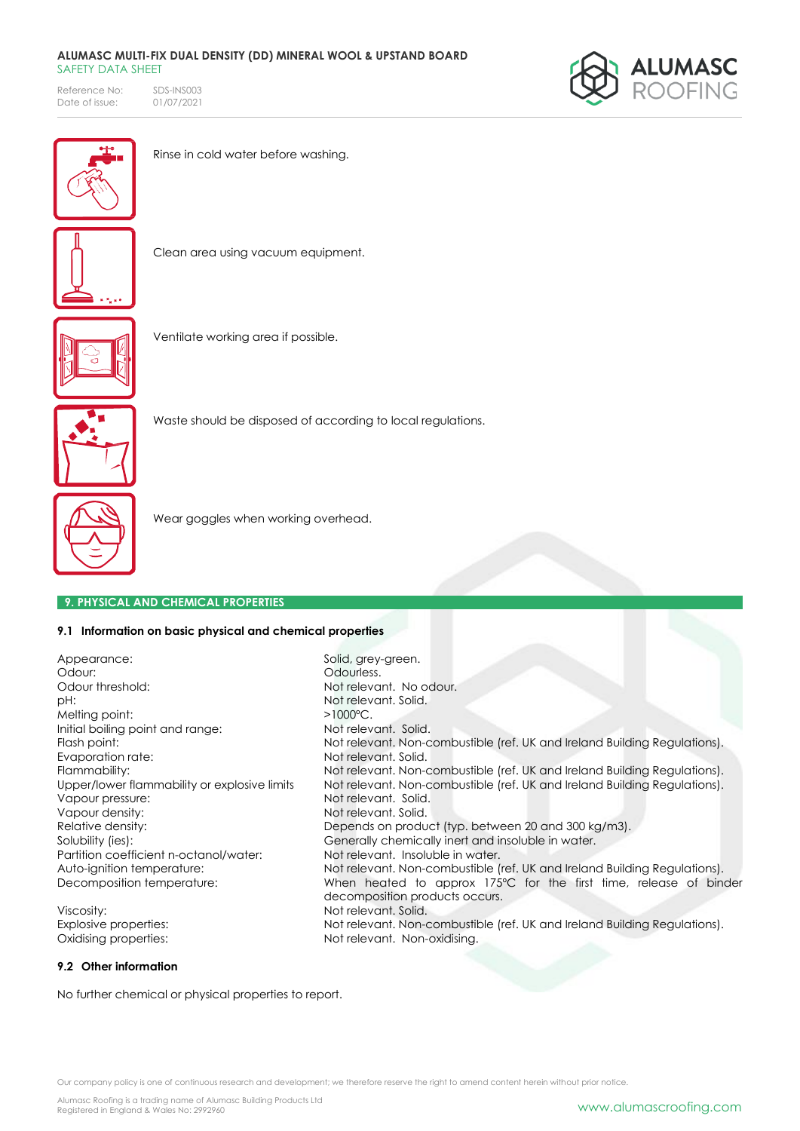#### **ALUMASC MULTI-FIX DUAL DENSITY (DD) MINERAL WOOL & UPSTAND BOARD** SAFETY DATA SHEET

Reference No: SDS-INS003<br>Date of issue: 01/07/2021 Date of issue:





Rinse in cold water before washing.



Clean area using vacuum equipment.



Ventilate working area if possible.



Waste should be disposed of according to local regulations.

Not relevant. No odour.

decomposition products occurs.

Not relevant. Non-combustible (ref. UK and Ireland Building Regulations).



Wear goggles when working overhead.

# **9. PHYSICAL AND CHEMICAL PROPERTIES**

# **9.1 Information on basic physical and chemical properties**

Appearance: Solid, grey-green. Odour: Odourless. pH:  $R$  and  $R$  and  $R$  and  $R$  and  $R$  and  $R$  and  $R$  and  $R$  and  $R$  and  $R$  and  $R$  and  $R$  and  $R$  and  $R$  and  $R$  and  $R$  and  $R$  and  $R$  and  $R$  and  $R$  and  $R$  and  $R$  and  $R$  and  $R$  and  $R$  and  $R$  and  $R$  and  $R$ Melting point:  $>1000^{\circ}$ C. Initial boiling point and range: Not relevant. Solid. Flash point: **Not relevant. Non-combustible (ref. UK and Ireland Building Regulations).** Evaporation rate: Not relevant. Solid. Flammability:<br>
Not relevant. Non-combustible (ref. UK and Ireland Building Regulations).<br>
Upper/lower flammability or explosive limits Not relevant. Non-combustible (ref. UK and Ireland Building Regulations). Vapour pressure: Not relevant. Solid. Vapour density: Not relevant. Solid. Relative density:  $\blacksquare$  Depends on product (typ. between 20 and 300 kg/m3). Solubility (ies): Generally chemically inert and insoluble in water. Partition coefficient n-octanol/water: Not relevant. Insoluble in water. Auto-ignition temperature: Not relevant. Non-combustible (ref. UK and Ireland Building Regulations). Decomposition temperature: When heated to approx 175°C for the first time, release of binder

Viscosity:  $\blacksquare$ Explosive properties: Not relevant. Non-combustible (ref. UK and Ireland Building Regulations). Oxidising properties: Not relevant. Non-oxidising.

## **9.2 Other information**

No further chemical or physical properties to report.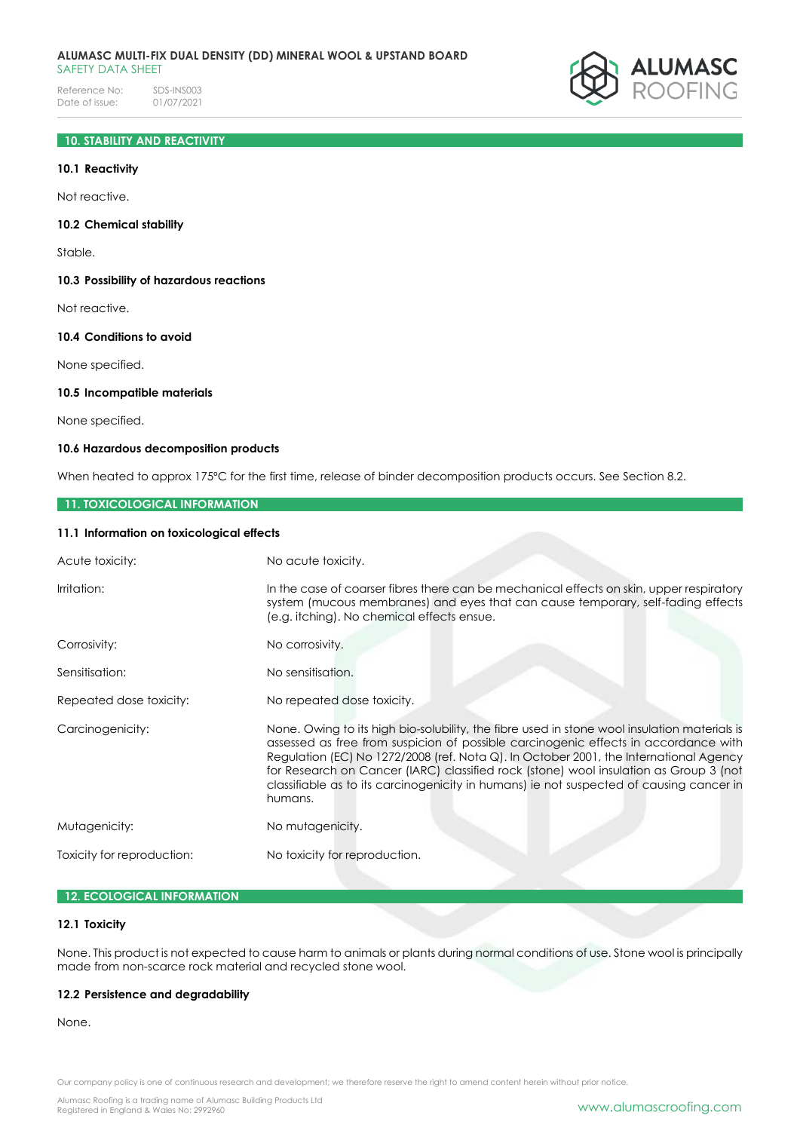Reference No: SDS-INS003<br>Date of issue: 01/07/2021 Date of issue:



# **10. STABILITY AND REACTIVITY**

#### **10.1 Reactivity**

Not reactive.

#### **10.2 Chemical stability**

Stable.

**10.3 Possibility of hazardous reactions**

Not reactive.

## **10.4 Conditions to avoid**

None specified.

# **10.5 Incompatible materials**

None specified.

# **10.6 Hazardous decomposition products**

When heated to approx 175°C for the first time, release of binder decomposition products occurs. See Section 8.2.

#### **11. TOXICOLOGICAL INFORMATION**

#### **11.1 Information on toxicological effects**

| Acute toxicity:            | No acute toxicity.                                                                                                                                                                                                                                                                                                                                                                                                                                                          |  |
|----------------------------|-----------------------------------------------------------------------------------------------------------------------------------------------------------------------------------------------------------------------------------------------------------------------------------------------------------------------------------------------------------------------------------------------------------------------------------------------------------------------------|--|
| Irritation:                | In the case of coarser fibres there can be mechanical effects on skin, upper respiratory<br>system (mucous membranes) and eyes that can cause temporary, self-fading effects<br>(e.g. itching). No chemical effects ensue.                                                                                                                                                                                                                                                  |  |
| Corrosivity:               | No corrosivity.                                                                                                                                                                                                                                                                                                                                                                                                                                                             |  |
| Sensitisation:             | No sensitisation.                                                                                                                                                                                                                                                                                                                                                                                                                                                           |  |
| Repeated dose toxicity:    | No repeated dose toxicity.                                                                                                                                                                                                                                                                                                                                                                                                                                                  |  |
| Carcinogenicity:           | None. Owing to its high bio-solubility, the fibre used in stone wool insulation materials is<br>assessed as free from suspicion of possible carcinogenic effects in accordance with<br>Regulation (EC) No 1272/2008 (ref. Nota Q). In October 2001, the International Agency<br>for Research on Cancer (IARC) classified rock (stone) wool insulation as Group 3 (not<br>classifiable as to its carcinogenicity in humans) ie not suspected of causing cancer in<br>humans. |  |
| Mutagenicity:              | No mutagenicity.                                                                                                                                                                                                                                                                                                                                                                                                                                                            |  |
| Toxicity for reproduction: | No toxicity for reproduction.                                                                                                                                                                                                                                                                                                                                                                                                                                               |  |

# **12. ECOLOGICAL INFORMATION**

## **12.1 Toxicity**

None. This product is not expected to cause harm to animals or plants during normal conditions of use. Stone wool is principally made from non-scarce rock material and recycled stone wool.

#### **12.2 Persistence and degradability**

None.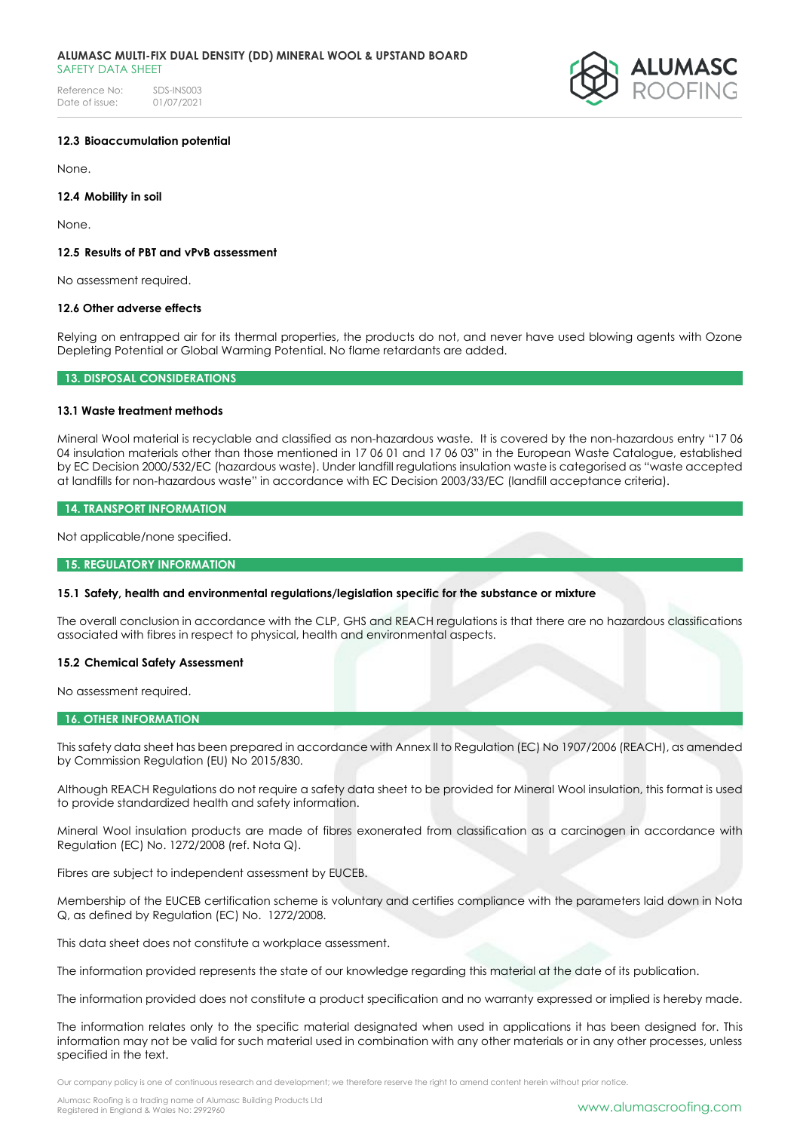Reference No: SDS-INS003<br>Date of issue: 01/07/2021 Date of issue:



## **12.3 Bioaccumulation potential**

None.

## **12.4 Mobility in soil**

None.

# **12.5 Results of PBT and vPvB assessment**

No assessment required.

## **12.6 Other adverse effects**

Relying on entrapped air for its thermal properties, the products do not, and never have used blowing agents with Ozone Depleting Potential or Global Warming Potential. No flame retardants are added.

## **13. DISPOSAL CONSIDERATIONS**

## **13.1 Waste treatment methods**

Mineral Wool material is recyclable and classified as non-hazardous waste. It is covered by the non-hazardous entry "17 06 04 insulation materials other than those mentioned in 17 06 01 and 17 06 03" in the European Waste Catalogue, established by EC Decision 2000/532/EC (hazardous waste). Under landfill regulations insulation waste is categorised as "waste accepted at landfills for non-hazardous waste" in accordance with EC Decision 2003/33/EC (landfill acceptance criteria).

## **14. TRANSPORT INFORMATION**

Not applicable/none specified.

#### **15. REGULATORY INFORMATION**

## **15.1 Safety, health and environmental regulations/legislation specific for the substance or mixture**

The overall conclusion in accordance with the CLP, GHS and REACH regulations is that there are no hazardous classifications associated with fibres in respect to physical, health and environmental aspects.

## **15.2 Chemical Safety Assessment**

No assessment required.

## **16. OTHER INFORMATION**

This safety data sheet has been prepared in accordance with Annex II to Regulation (EC) No 1907/2006 (REACH), as amended by Commission Regulation (EU) No 2015/830.

Although REACH Regulations do not require a safety data sheet to be provided for Mineral Wool insulation, this format is used to provide standardized health and safety information.

Mineral Wool insulation products are made of fibres exonerated from classification as a carcinogen in accordance with Regulation (EC) No. 1272/2008 (ref. Nota Q).

Fibres are subject to independent assessment by EUCEB.

Membership of the EUCEB certification scheme is voluntary and certifies compliance with the parameters laid down in Nota Q, as defined by Regulation (EC) No. 1272/2008.

This data sheet does not constitute a workplace assessment.

The information provided represents the state of our knowledge regarding this material at the date of its publication.

The information provided does not constitute a product specification and no warranty expressed or implied is hereby made.

The information relates only to the specific material designated when used in applications it has been designed for. This information may not be valid for such material used in combination with any other materials or in any other processes, unless specified in the text.